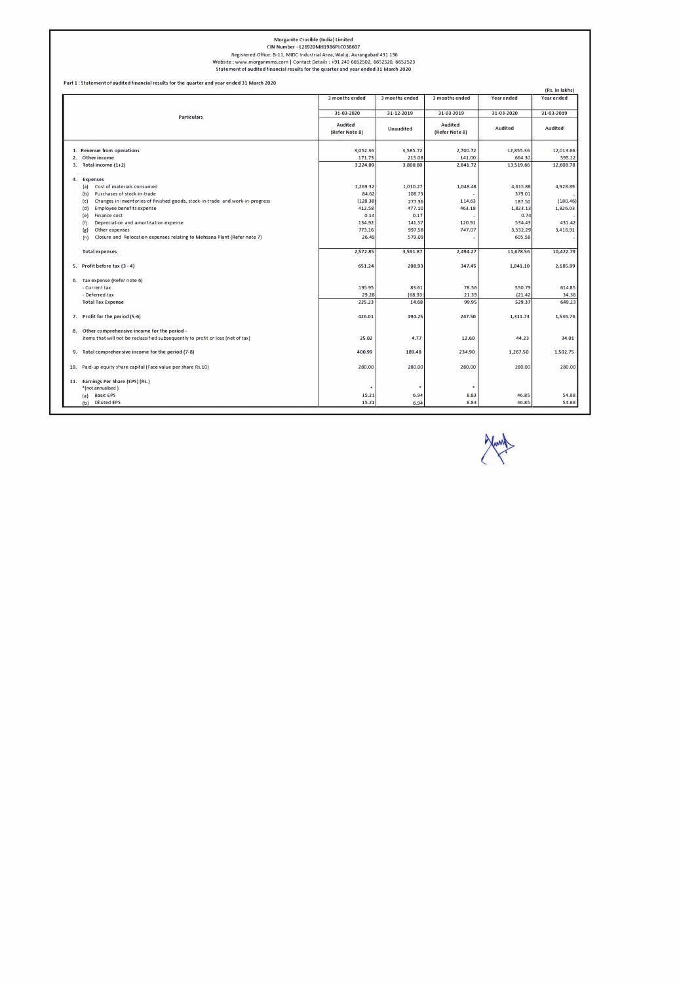# Morganite Crucible (India) Limited

CIN Number - l26920MH1986PLC038607

Registered Office: B-11, MIDC Industrial Area, Waluj, Aurangabad 431 136

Website: www.morganmms.com I Contact Details : +91 240 6652502, 6652520, 6652523

Statement of audited financial results for the quarter and year ended 31 March 2020

|                                                                                      | 3 months ended                                                             | 3 months ended | 3 months ended | Year ended | Year ended |
|--------------------------------------------------------------------------------------|----------------------------------------------------------------------------|----------------|----------------|------------|------------|
| <b>Particulars</b>                                                                   | 31-03-2020                                                                 | 31-12-2019     | 31-03-2019     | 31-03-2020 | 31-03-2019 |
|                                                                                      | <b>Audited</b><br>Audited<br>Unaudited<br>(Refer Note 8)<br>(Refer Note 8) | Audited        | Audited        |            |            |
| 1. Revenue from operations                                                           | 3,052.36                                                                   | 3,585.72       | 2,700.72       | 12,855.36  | 12,013.66  |
| Other income<br>2.                                                                   | 171.73                                                                     | 215.08         | 141.00         | 664.30     | 595.12     |
| Total income (1+2)<br>3.                                                             | 3,224.09                                                                   | 3,800.80       | 2,841.72       | 13,519.66  | 12,608.78  |
| 4.<br><b>Expenses</b>                                                                |                                                                            |                |                |            |            |
| Cost of materials consumed<br>(a)                                                    | 1,269.32                                                                   | 1,010.27       | 1,048.48       | 4,615.88   | 4,928.89   |
| Purchases of stock-in-trade<br>(b)                                                   | 84.62                                                                      | 108.73         |                | 379.01     |            |
| Changes in inventories of finished goods, stock-in-trade and work-in-progress<br>(c) | (128.38)                                                                   | 277.36         | 114.63         | 187.50     | (180.46)   |
| Employee benefits expense<br>(d)                                                     | 412.58                                                                     | 477.10         | 463.18         | 1,823.13   | 1,826.03   |
| Finance cost<br>(e)                                                                  | 0.14                                                                       | 0.17           |                | 0.74       |            |
| (f)<br>Depreciation and amortisation expense                                         | 134.92                                                                     | 141.57         | 120.91         | 534.43     | 431.42     |
| Other expenses<br>(g)                                                                | 773.16                                                                     | 997.58         | 747.07         | 3,532.29   | 3,416.91   |
| Closure and Relocation expenses relating to Mehsana Plant (Refer note 7)<br>(h)      | 26.49                                                                      | 579.09         |                | 605.58     |            |
| <b>Total expenses</b>                                                                | 2,572.85                                                                   | 3,591.87       | 2,494.27       | 11,678.56  | 10,422.79  |
| 5. Profit before tax (3 - 4)                                                         | 651.24                                                                     | 208.93         | 347.45         | 1,841.10   | 2,185.99   |
| 6. Tax expense (Refer note 6)                                                        |                                                                            |                |                |            |            |
| - Current tax                                                                        | 195.95                                                                     | 83.61          | 78.56          | 550.79     | 614.85     |
| - Deferred tax                                                                       | 29.28                                                                      | (68.93)        | 21.39          | (21.42)    | 34.38      |
| <b>Total Tax Expense</b>                                                             | 225.23                                                                     | 14.68          | 99.95          | 529.37     | 649.23     |
| 7. Profit for the period (5-6)                                                       | 426.01                                                                     | 194.25         | 247.50         | 1,311.73   | 1,536.76   |
| Other comprehensive income for the period -<br>8.                                    |                                                                            |                |                |            |            |
| Items that will not be reclassified subsequently to profit or loss (net of tax)      | 25.02                                                                      | 4.77           | 12.60          | 44.23      | 34.01      |
| 9. Total comprehensive income for the period (7-8)                                   | 400.99                                                                     | 189.48         | 234.90         | 1,267.50   | 1,502.75   |
| 10. Paid-up equity share capital (Face value per share Rs.10)                        | 280.00                                                                     | 280.00         | 280.00         | 280.00     | 280.00     |
| 11. Earnings Per Share (EPS) (Rs.)                                                   |                                                                            |                |                |            |            |
| *(not annualised)                                                                    |                                                                            |                |                |            |            |
| <b>Basic EPS</b><br>(a)                                                              | 15.21                                                                      | 6.94           | 8.83           | 46.85      | 54.88      |
| (b) Diluted EPS                                                                      | 15.21                                                                      | 6.94           | 8.83           | 46.85      | 54.88      |

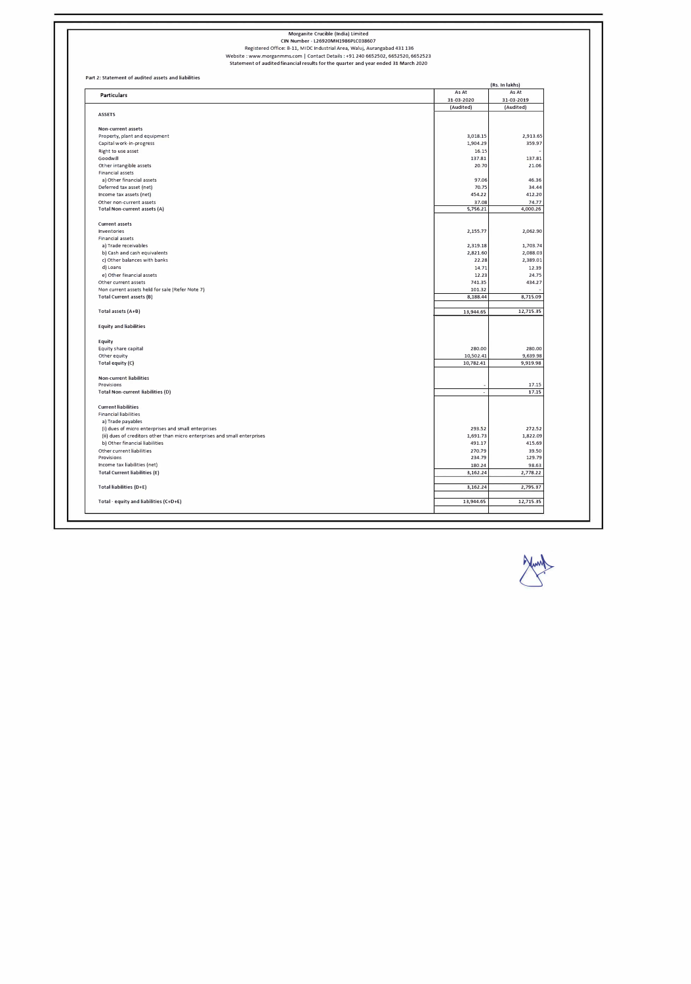Part 2: Statement of audited assets and liabilities

#### Morganite Crucible (India) Limited

CIN Number - l26920MH1986PLC038607

Registered Office: 8-11, MIDC Industrial Area, Waluj, Aurangabad 431 136

|                                                                           |                          | (Rs. In lakhs) |
|---------------------------------------------------------------------------|--------------------------|----------------|
| <b>Particulars</b>                                                        | As At                    | As At          |
|                                                                           | 31-03-2020               | 31-03-2019     |
|                                                                           | (Audited)                | (Audited)      |
| <b>ASSETS</b>                                                             |                          |                |
| Non-current assets                                                        |                          |                |
| Property, plant and equipment                                             | 3,018.15                 | 2,913.65       |
| Capital work-in-progress                                                  | 1,904.29                 | 359.97         |
| Right to use asset                                                        | 16.15                    |                |
| Goodwill                                                                  | 137.81                   | 137.81         |
| Other intangible assets                                                   | 20.70                    | 21.06          |
| Financial assets                                                          |                          |                |
| a) Other financial assets                                                 | 97.06                    | 46.36          |
| Deferred tax asset (net)                                                  | 70.75                    | 34.44          |
| Income tax assets (net)                                                   | 454.22                   | 412.20         |
|                                                                           |                          |                |
| Other non-current assets                                                  | 37.08                    | 74.77          |
| Total Non-current assets (A)                                              | 5,756.21                 | 4,000.26       |
| <b>Current assets</b>                                                     |                          |                |
| Inventories                                                               | 2,155.77                 | 2,062.90       |
| Financial assets                                                          |                          |                |
| a) Trade receivables                                                      | 2,319.18                 | 1,703.74       |
| b) Cash and cash equivalents                                              | 2,821.60                 | 2,088.03       |
| c) Other balances with banks                                              | 22.28                    | 2,389.01       |
| d) Loans                                                                  | 14.71                    | 12.39          |
| e) Other financial assets                                                 | 12.23                    | 24.75          |
| Other current assets                                                      | 741.35                   | 434.27         |
| Non current assets held for sale (Refer Note 7)                           | 101.32                   |                |
| Total Current assets (B)                                                  | 8,188.44                 | 8,715.09       |
|                                                                           |                          |                |
| Total assets (A+B)                                                        | 13,944.65                | 12,715.35      |
| <b>Equity and liabilities</b>                                             |                          |                |
| Equity                                                                    |                          |                |
| Equity share capital                                                      | 280.00                   | 280.00         |
| Other equity                                                              | 10,502.41                | 9,639.98       |
| Total equity (C)                                                          | 10,782.41                | 9,919.98       |
| Non-current liabilities                                                   |                          |                |
| Provisions                                                                | ×,                       | 17.15          |
| <b>Total Non-current liabilities (D)</b>                                  | $\overline{\phantom{a}}$ | 17.15          |
|                                                                           |                          |                |
| <b>Current liabilities</b>                                                |                          |                |
| <b>Financial liabilities</b>                                              |                          |                |
| a) Trade payables                                                         |                          |                |
| (i) dues of micro enterprises and small enterprises                       | 293.52                   | 272.52         |
| (ii) dues of creditors other than micro enterprises and small enterprises | 1,691.73                 | 1,822.09       |
| b) Other financial liabilities                                            | 491.17                   | 415.69         |
| Other current liabilities                                                 | 270.79                   | 39.50          |
| Provisions                                                                | 234.79                   | 129.79         |
| Income tax liabilities (net)                                              | 180.24                   | 98.63          |
| Total Current liabilities (E)                                             | 3,162.24                 | 2,778.22       |
|                                                                           |                          |                |
| Total liabilities (D+E)                                                   | 3,162.24                 | 2,795.37       |
| Total - equity and liabilities (C+D+E)                                    | 13,944.65                | 12,715.35      |
|                                                                           |                          |                |

Website : www.morganmms.com I Contact Details : +91 240 6652502, 6652520, 6652523 Statement of audited financial results for the quarter and year ended 31 March 2020

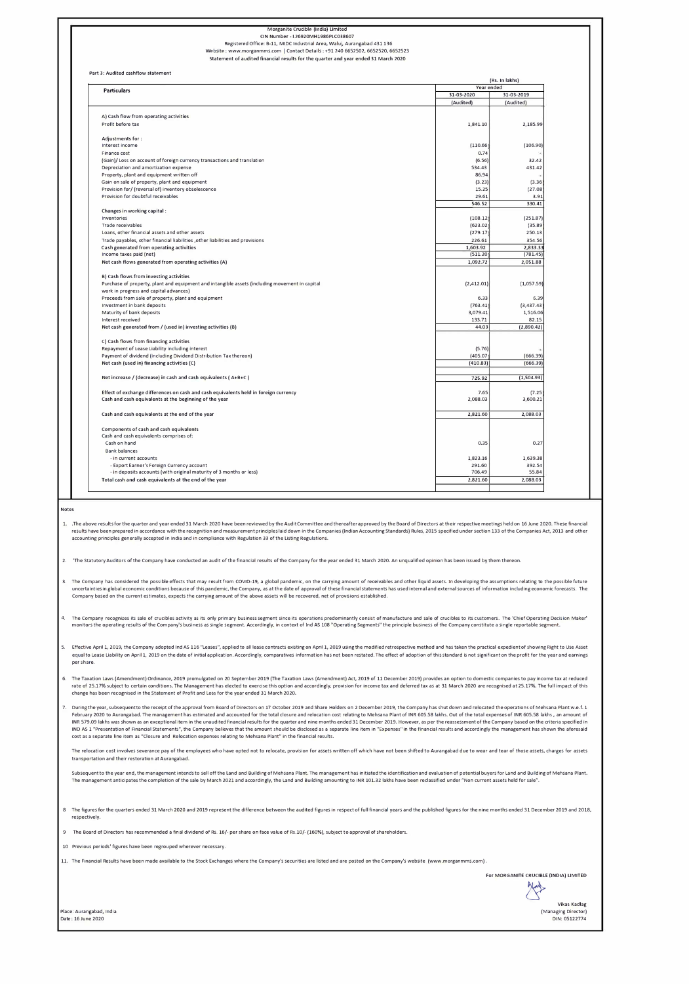Notes

#### Morganite Crucible (India) Limited CIN Number - l26920MH1986PLC038607 Registered Office: B-11, MIDC Industrial Area, Waluj, Aurangabad 431 136 Website: www.morganmms.com | Contact Details: +91 240 6652502, 6652520, 6652523

Statement of audited financial results for the quarter and year ended 31 March 2020

Part 3: Audited cashflow statement

| <b>Particulars</b>                                                                                                            |            | Year ended  |  |
|-------------------------------------------------------------------------------------------------------------------------------|------------|-------------|--|
|                                                                                                                               | 31-03-2020 | 31-03-2019  |  |
|                                                                                                                               | (Audited)  | (Audited)   |  |
| A) Cash flow from operating activities                                                                                        |            |             |  |
| Profit before tax                                                                                                             | 1,841.10   | 2,185.99    |  |
|                                                                                                                               |            |             |  |
| Adjustments for:<br>Interest income                                                                                           | (110.66)   | (106.90)    |  |
|                                                                                                                               |            |             |  |
| Finance cost                                                                                                                  | 0.74       |             |  |
| (Gain)/Loss on account of foreign currency transactions and translation                                                       | (6.56)     | 32.42       |  |
| Depreciation and amortization expense                                                                                         | 534.43     | 431.42      |  |
| Property, plant and equipment written off                                                                                     | 86.94      |             |  |
| Gain on sale of property, plant and equipment                                                                                 | (3.23)     | (3.36)      |  |
| Provision for/ (reversal of) inventory obsolescence                                                                           | 15.25      | (27.08)     |  |
| Provision for doubtful receivables                                                                                            | 29.61      | 3.91        |  |
| Changes in working capital :                                                                                                  | 546.52     | 330.41      |  |
| Inventories                                                                                                                   | (108.12)   | (251.87)    |  |
| Trade receivables                                                                                                             |            | (35.89)     |  |
|                                                                                                                               | (623.02)   |             |  |
| Loans, other financial assets and other assets                                                                                | (279.17)   | 250.13      |  |
| Trade payables, other financial liabilities , other liabilities and provisions                                                | 226.61     | 354.56      |  |
| Cash generated from operating activities                                                                                      | 1,603.92   | 2,833.33    |  |
| Income taxes paid (net)                                                                                                       | (511.20)   | (781.45)    |  |
| Net cash flows generated from operating activities (A)                                                                        | 1,092.72   | 2,051.88    |  |
| B) Cash flows from investing activities                                                                                       |            |             |  |
| Purchase of property, plant and equipment and intangible assets (including movement in capital                                | (2,412.01) | (1,057.59)  |  |
| work in progress and capital advances)                                                                                        |            |             |  |
| Proceeds from sale of property, plant and equipment                                                                           | 6.33       | 6.39        |  |
| Investment in bank deposits                                                                                                   | (763.41)   | (3, 437.43) |  |
| Maturity of bank deposits                                                                                                     | 3,079.41   | 1,516.06    |  |
| Interest received                                                                                                             | 133.71     | 82.15       |  |
| Net cash generated from / (used in) investing activities (B)                                                                  | 44.03      | (2,890.42)  |  |
|                                                                                                                               |            |             |  |
| C) Cash flows from financing activities                                                                                       |            |             |  |
| Repayment of Lease Liability including interest                                                                               | (5.76)     |             |  |
| Payment of dividend (including Dividend Distribution Tax thereon)                                                             | (405.07)   | (666.39)    |  |
| Net cash (used in) financing activities (C)                                                                                   | (410.83)   | (666.39)    |  |
| Net increase / (decrease) in cash and cash equivalents ( $A+B+C$ )                                                            | 725.92     | (1,504.93)  |  |
|                                                                                                                               |            |             |  |
| Effect of exchange differences on cash and cash equivalents held in foreign currency                                          | 7.65       | (7.25)      |  |
| Cash and cash equivalents at the beginning of the year                                                                        | 2,088.03   | 3,600.21    |  |
| Cash and cash equivalents at the end of the year                                                                              | 2,821.60   | 2,088.03    |  |
|                                                                                                                               |            |             |  |
| Components of cash and cash equivalents                                                                                       |            |             |  |
| Cash and cash equivalents comprises of:                                                                                       |            |             |  |
| Cash on hand                                                                                                                  | 0.35       | 0.27        |  |
| <b>Bank balances</b>                                                                                                          |            |             |  |
| - in current accounts                                                                                                         | 1,823.16   | 1,639.38    |  |
|                                                                                                                               | 291.60     | 392.54      |  |
| - Export Earner's Foreign Currency account                                                                                    |            |             |  |
| - in deposits accounts (with original maturity of 3 months or less)<br>Total cash and cash equivalents at the end of the year | 706.49     | 55.84       |  |

1. The above results for the quarter and year ended 31 March 2020 have been reviewed by the Audit Committee and thereafter approved by the Board of Directors at their respective meetings held on 16 June 2020. These financi results have been prepared in accordance with the recognition and measurement principles laid down in the Companies (Indian Accounting Standards) Rules, 2015 specified under section 133 of the Companies Act, 2013 and other accounting principles generally accepted in India and in compliance with Regulation 33 of the listing Regulations.

3. The Company has considered the possible effects that may result from COVID-19, a global pandemic, on the carrying amount of receivables and other liquid assets. In developing the assumptions relating to the possible fut uncertainties in global economic conditions because of this pandemic, the Company, as at the date of approval of these financial statements has used internal and external sources of information including economic forecasts Company based on the current estimates, expects the carrying amount of the above assets will be recovered, net of provisions established.

4. The Company recognizes its sale of crucibles activity as its only primary business segment since its operations predominantly consist of manufacture and sale of crucibles to its customers. The 'Chief Operating Decision monitors the operating results of the Company's business as single segment. Accordingly, in context of Ind AS 108 "Operating Segments" the principle business of the Company constitute a single reportable segment.

5. Effective April 1, 2019, the Company adopted Ind AS 116 "Leases", applied to all lease contracts existing on April 1, 2019 using the modified retrospective method and has taken the practical expedient of showing Right t equal to Lease Liability on April 1, 2019 on the date of initial application. Accordingly, comparatives information has not been restated. The effect of adoption of this standard is not significant on the profit for the ye

2. 'The Statutory Auditors of the Company have conducted an audit of the financial results of the Company for the year ended 31 March 2020. An unqualified opinion has been issued by them thereon.

8 The figures for the quarters ended 31 March 2020 and 2019 represent the difference between the audited figures in respect of full financial years and the published figures for the nine months ended 31 December 2019 and 2 respectively.

per share.

- 6. The Taxation Laws (Amendment) Ordinance, 2019 promulgated on 20 September 2019 (The Taxation Laws (Amendment) Act, 2019 of 11 December 2019) provides an option to domestic companies to pay income tax at reduced rate of 25.17% subject to certain conditions. The Management has elected to exercise this option and accordingly, provision for income tax and deferred tax as at 31 March 2020 are recognised at 25.17%. The full impact of t change has been recognised in the Statement of Profit and Loss for the year ended 31 March 2020.
- 7. During the year, subsequent to the receipt of the approval from Board of Directors on 17 October 2019 and Share Holders on 2 December 2019, the Company has shut down and relocated the operations of Mehsana Plant w.e.f. February 2020 to Aurangabad. The management has estimated and accounted for the total closure and relocation cost relating to Mehsana Plant of INR 605.58 lakhs. Out of the total expenses of INR 605.58 lakhs , an amount of INR 579.09 lakhs was shown as an exceptional item in the unaudited financial results for the quarter and nine months ended 31 December 2019. However, as per the reassessment of the Company based on the criteria specified i IND AS 1 "Presentation of Financial Statements", the Company believes that the amount should be disclosed as a separate line item in "Expenses" in the financial results and accordingly the management has shown the aforesai cost as a separate line item as "Closure and Relocation expenses relating to Mehsana Plant" in the financial results.

The relocation cost involves severance pay of the employees who have opted not to relocate, provision for assets written off which have not been shifted to Aurangabad due to wear and tear of those assets, charges for assets transportation and their restoration at Aurangabad.

Subsequent to the year end, the management intends to sell off the Land and Building of Mehsana Plant. The management has initiated the identification and evaluation of potential buyers for Land and Building of Mehsana Pla The management anticipates the completion of the sale by March 2021 and accordingly, the Land and Building amounting to INR 101.32 lakhs have been reclassified under "Non current assets held for sale".

9 The Board of Directors has recommended a final dividend of Rs. 16/- per share on face value of Rs.10/- (160%), subject to approval of shareholders.

10 Previous periods' figures have been regrouped wherever necessary.

11. The Financial Results have been made available to the Stock Exchanges where the Company's securities are listed and are posted on the Company's website (www.morganmms.com),

Place: Aurangabad, India Date: 16 June 2020

For MORGANITE CRUCIBLE (INDIA) LIMITED

 ${x,y \over 2}$ 

Vikas Kadlag (Managing Director) DIN: 05122774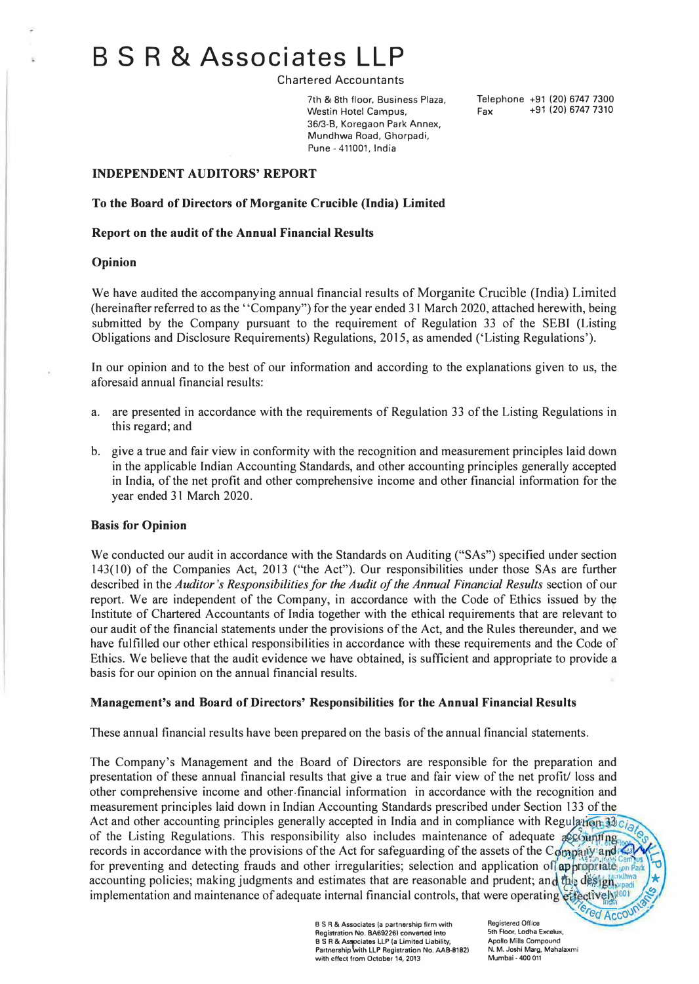# **B S R & Associates LLP**

Chartered Accountants

7th & 8th floor, Business Plaza, Westin Hotel Campus, 36/3-8, Koregaon Park Annex, Mundhwa Road, Ghorpadi, Pune - 411001, India

Telephone +91 (20) 6747 7300  $Fax$  +91 (20) 6747 7310

## **INDEPENDENT AUDITORS' REPORT**

### **To the Board of Directors of Morganite Crucible (India) Limited**

### **Report on the audit of the Annual Financial Results**

#### **Opinion**

We have audited the accompanying annual financial results of Morganite Crucible (India) Limited (hereinafter referred to as the ''Company") for the year ended 31 March 2020, attached herewith, being submitted by the Company pursuant to the requirement of Regulation 33 of the SEBI (Listing Obligations and Disclosure Requirements) Regulations, 2015, as amended ('Listing Regulations').

In our opinion and to the best of our information and according to the explanations given to us, the aforesaid annual financial results:

- a. are presented in accordance with the requirements of Regulation 33 of the Listing Regulations in this regard; and
- b. give a true and fair view in conformity with the recognition and measurement principles laid down in the applicable Indian Accounting Standards, and other accounting principles generally accepted in India, of the net profit and other comprehensive income and other financial information for the year ended 31 March 2020.

#### **Basis for Opinion**

We conducted our audit in accordance with the Standards on Auditing ("SAs") specified under section 143(10) of the Companies Act, 2013 ("the Act"). Our responsibilities under those SAs are further described in the *Auditor's Responsibilities for the Audit of the Annual Financial Results* section of our report. We are independent of the Company, in accordance with the Code of Ethics issued by the Institute of Chartered Accountants of India together with the ethical requirements that are relevant to our audit of the financial statements under the provisions of the Act, and the Rules thereunder, and we have fulfilled our other ethical responsibilities in accordance with these requirements and the Code of Ethics. We believe that the audit evidence we have obtained, is sufficient and appropriate to provide a basis for our opinion on the annual financial results.

## **Management's and Board of Directors' Responsibilities for the Annual Financial Results**

These annual financial results have been prepared on the basis of the annual financial statements.

The Company's Management and the Board of Directors are responsible for the preparation and presentation of these annual financial results that give a true and fair view of the net profit/ loss and other comprehensive income and other.financial information in accordance with the recognition and measurement principles laid down in Indian Accounting Standards prescribed under Section 133 of the Act and other accounting principles generally accepted in India and in compliance with Regulation 33  $c_{i5i}$  of the Listing Regulations. This responsibility also includes maintenance of adequate accounting records in accordance with the provisions of the Act for safeguarding of the assets of the Company and for preventing and detecting frauds and other irregularities; selection and application of appropriate ion Park **D** accounting policies; making judgments and estimates that are reasonable and prudent; and the design, implementation and maintenance of adequate internal financial controls, that were operating *ettectively<sup>100</sup>* 

> **B S R & Associates la partnership firm with Registration No. BA69226) converted into B S R & Associates LLP (a Limited Liability, and B and Property**<br>Partnership with LLP Registration No. AAB-8182) **with effect from October 14, 2013**

**Registered Office**  5th Floor, Lodha Excelus, **Apollo Mills Compound N. M. Joshi Marg, Mahalaxmi Mumbai • 400 011** 

 $\mathcal{C}_\mathcal{S}$ 

ered Accow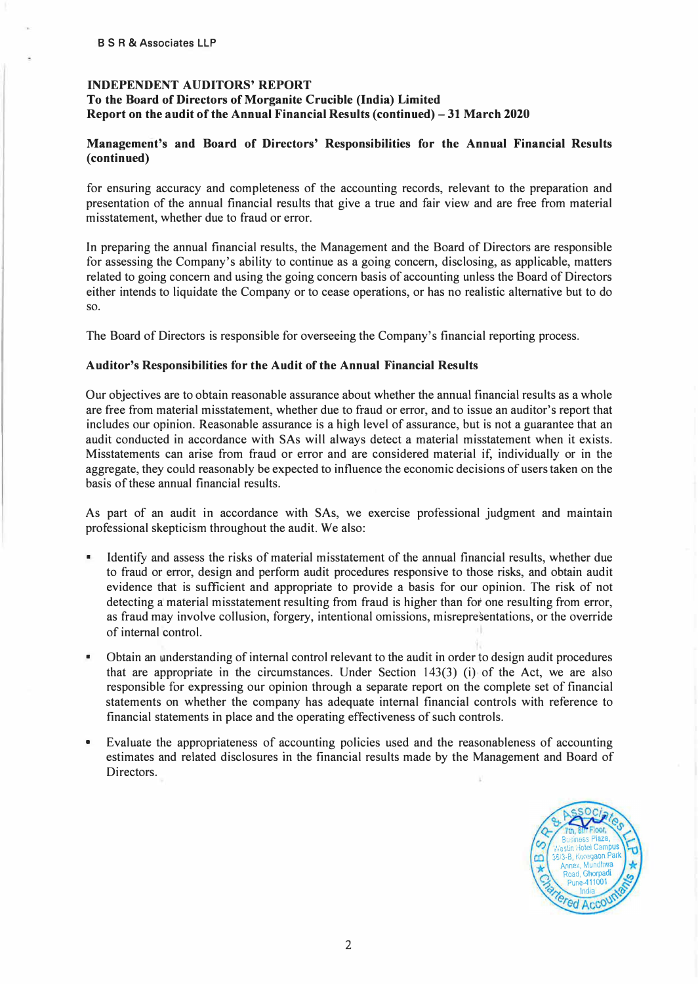# **INDEPENDENT AUDITORS' REPORT**  To the Board of Directors of Morganite Crucible (India) Limited **Report on the audit of the Annual Financial Results (continued)-31 March 2020**

## **Management's and Board of Directors' Responsibilities for the Annual Financial Results (continued)**

for ensuring accuracy and completeness of the accounting records, relevant to the preparation and presentation of the annual financial results that give a true and fair view and are free from material misstatement, whether due to fraud or error.

In preparing the annual financial results, the Management and the Board of Directors are responsible for assessing the Company's ability to continue as a going concern, disclosing, as applicable, matters related to going concern and using the going concern basis of accounting unless the Board of Directors either intends to liquidate the Company or to cease operations, or has no realistic alternative but to do so.

The Board of Directors is responsible for overseeing the Company's financial reporting process.

#### **Auditor's Responsibilities for the Audit of the Annual Financial Results**

Our objectives are to obtain reasonable assurance about whether the annual financial results as a whole are free from material misstatement, whether due to fraud or error, and to issue an auditor's report that includes our opinion. Reasonable assurance is a high level of assurance, but is not a guarantee that an audit conducted in accordance with SAs will always detect a material misstatement when it exists. Misstatements can arise from fraud or error and are considered material if, individually or in the aggregate, they could reasonably be expected to influence the economic decisions of users taken on the basis of these annual financial results.

As part of an audit in accordance with SAs, we exercise professional judgment and maintain professional skepticism throughout the audit. We also:

- Identify and assess the risks of material misstatement of the annual financial results, whether due to fraud or error, design and perform audit procedures responsive to those risks, and obtain audit evidence that is sufficient and appropriate to provide a basis for our opinion. The risk of not detecting a material misstatement resulting from fraud is higher than for one resulting from error, as fraud may involve collusion, forgery, intentional omissions, misrepresentations, or the override of internal control.
- Obtain an understanding of internal control relevant to the audit in order to design audit procedures that are appropriate in the circumstances. Under Section  $143(3)$  (i) of the Act, we are also responsible for expressing our opinion through a separate report on the complete set of financial statements on whether the company has adequate internal financial controls with reference to financial statements in place and the operating effectiveness of such controls.
- Evaluate the appropriateness of accounting policies used and the reasonableness of accounting estimates and related disclosures in the financial results made by the Management and Board of Directors.